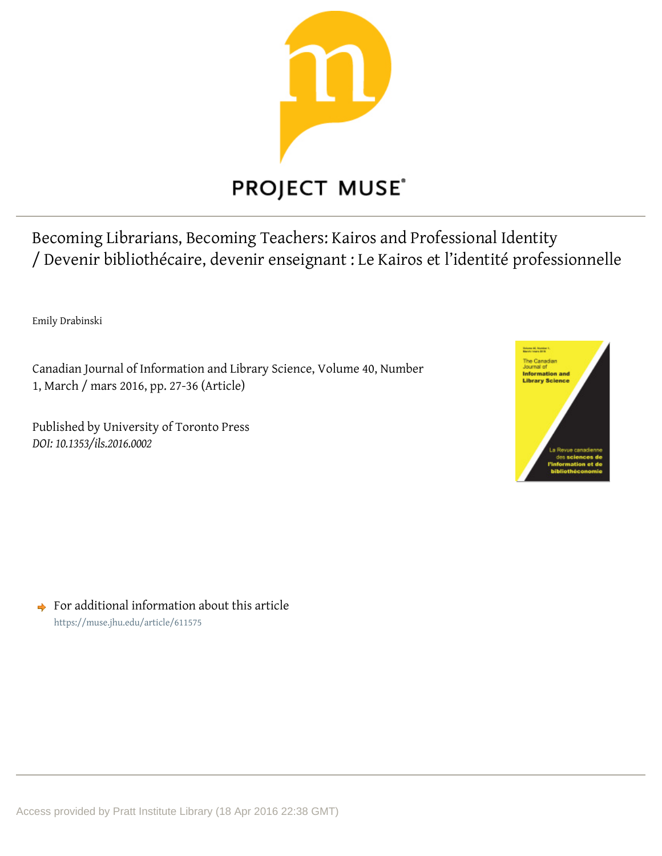

Becoming Librarians, Becoming Teachers: Kairos and Professional Identity / Devenir bibliothécaire, devenir enseignant : Le Kairos et l'identité professionnelle

Emily Drabinski

Canadian Journal of Information and Library Science, Volume 40, Number 1, March / mars 2016, pp. 27-36 (Article)

Published by University of Toronto Press DOI: 10.1353/ils.2016.0002



 $\rightarrow$  For additional information about this article https://muse.jhu.edu/article/611575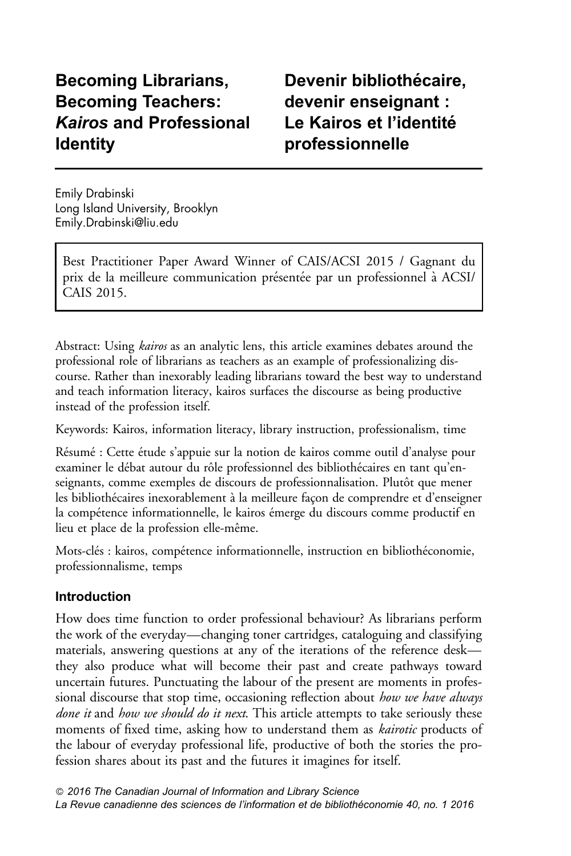# Becoming Librarians, Becoming Teachers: Kairos and Professional Identity

Devenir bibliothécaire. devenir enseignant : Le Kairos et l'identité professionnelle

Emily Drabinski Long Island University, Brooklyn <Emily.Drabinski@liu.edu>

Best Practitioner Paper Award Winner of CAIS/ACSI 2015 / Gagnant du prix de la meilleure communication présentée par un professionnel à ACSI/ CAIS 2015.

Abstract: Using *kairos* as an analytic lens, this article examines debates around the professional role of librarians as teachers as an example of professionalizing discourse. Rather than inexorably leading librarians toward the best way to understand and teach information literacy, kairos surfaces the discourse as being productive instead of the profession itself.

Keywords: Kairos, information literacy, library instruction, professionalism, time

Résumé : Cette étude s'appuie sur la notion de kairos comme outil d'analyse pour examiner le débat autour du rôle professionnel des bibliothécaires en tant qu'enseignants, comme exemples de discours de professionnalisation. Plutôt que mener les bibliothécaires inexorablement à la meilleure façon de comprendre et d'enseigner la compétence informationnelle, le kairos émerge du discours comme productif en lieu et place de la profession elle-même.

Mots-clés : kairos, compétence informationnelle, instruction en bibliothéconomie, professionnalisme, temps

# Introduction

How does time function to order professional behaviour? As librarians perform the work of the everyday—changing toner cartridges, cataloguing and classifying materials, answering questions at any of the iterations of the reference desk they also produce what will become their past and create pathways toward uncertain futures. Punctuating the labour of the present are moments in professional discourse that stop time, occasioning reflection about how we have always done it and how we should do it next. This article attempts to take seriously these moments of fixed time, asking how to understand them as kairotic products of the labour of everyday professional life, productive of both the stories the profession shares about its past and the futures it imagines for itself.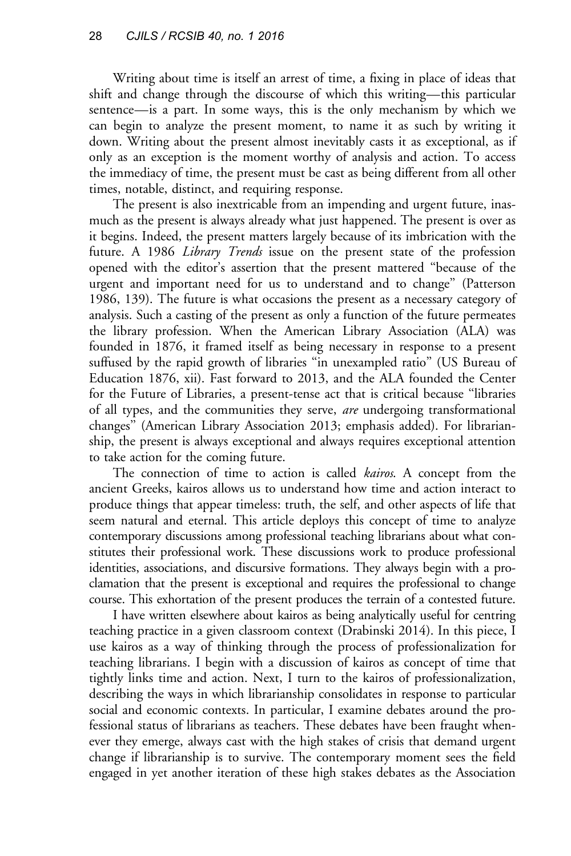Writing about time is itself an arrest of time, a fixing in place of ideas that shift and change through the discourse of which this writing—this particular sentence—is a part. In some ways, this is the only mechanism by which we can begin to analyze the present moment, to name it as such by writing it down. Writing about the present almost inevitably casts it as exceptional, as if only as an exception is the moment worthy of analysis and action. To access the immediacy of time, the present must be cast as being different from all other times, notable, distinct, and requiring response.

The present is also inextricable from an impending and urgent future, inasmuch as the present is always already what just happened. The present is over as it begins. Indeed, the present matters largely because of its imbrication with the future. A 1986 Library Trends issue on the present state of the profession opened with the editor's assertion that the present mattered ''because of the urgent and important need for us to understand and to change'' ([Patterson](#page-10-0) [1986](#page-10-0), 139). The future is what occasions the present as a necessary category of analysis. Such a casting of the present as only a function of the future permeates the library profession. When the American Library Association (ALA) was founded in 1876, it framed itself as being necessary in response to a present suffused by the rapid growth of libraries ''in unexampled ratio'' ([US Bureau of](#page-10-0) [Education 1876](#page-10-0), xii). Fast forward to 2013, and the ALA founded the Center for the Future of Libraries, a present-tense act that is critical because ''libraries of all types, and the communities they serve, are undergoing transformational changes'' ([American Library Association 2013](#page-9-0); emphasis added). For librarianship, the present is always exceptional and always requires exceptional attention to take action for the coming future.

The connection of time to action is called *kairos*. A concept from the ancient Greeks, kairos allows us to understand how time and action interact to produce things that appear timeless: truth, the self, and other aspects of life that seem natural and eternal. This article deploys this concept of time to analyze contemporary discussions among professional teaching librarians about what constitutes their professional work. These discussions work to produce professional identities, associations, and discursive formations. They always begin with a proclamation that the present is exceptional and requires the professional to change course. This exhortation of the present produces the terrain of a contested future.

I have written elsewhere about kairos as being analytically useful for centring teaching practice in a given classroom context ([Drabinski 2014](#page-9-0)). In this piece, I use kairos as a way of thinking through the process of professionalization for teaching librarians. I begin with a discussion of kairos as concept of time that tightly links time and action. Next, I turn to the kairos of professionalization, describing the ways in which librarianship consolidates in response to particular social and economic contexts. In particular, I examine debates around the professional status of librarians as teachers. These debates have been fraught whenever they emerge, always cast with the high stakes of crisis that demand urgent change if librarianship is to survive. The contemporary moment sees the field engaged in yet another iteration of these high stakes debates as the Association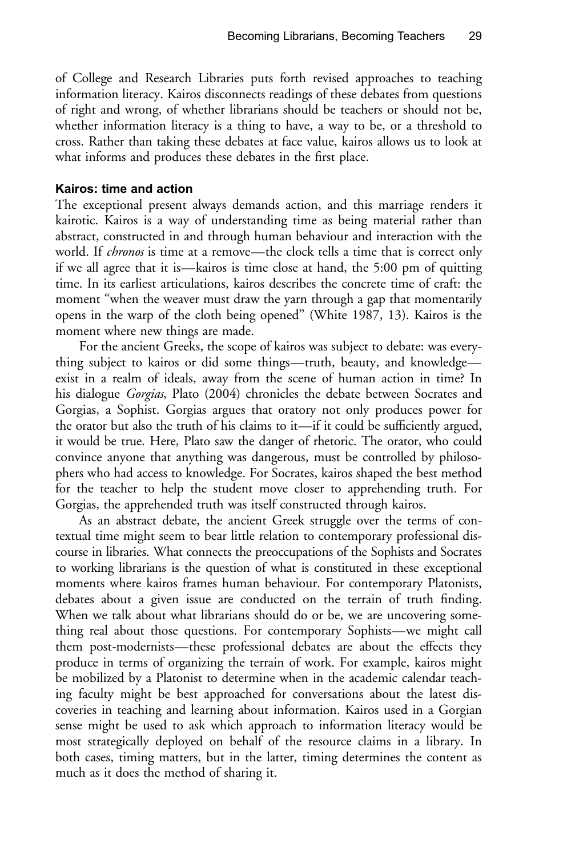of College and Research Libraries puts forth revised approaches to teaching information literacy. Kairos disconnects readings of these debates from questions of right and wrong, of whether librarians should be teachers or should not be, whether information literacy is a thing to have, a way to be, or a threshold to cross. Rather than taking these debates at face value, kairos allows us to look at what informs and produces these debates in the first place.

### Kairos: time and action

The exceptional present always demands action, and this marriage renders it kairotic. Kairos is a way of understanding time as being material rather than abstract, constructed in and through human behaviour and interaction with the world. If *chronos* is time at a remove—the clock tells a time that is correct only if we all agree that it is—kairos is time close at hand, the 5:00 pm of quitting time. In its earliest articulations, kairos describes the concrete time of craft: the moment "when the weaver must draw the yarn through a gap that momentarily opens in the warp of the cloth being opened'' [\(White 1987](#page-10-0), 13). Kairos is the moment where new things are made.

For the ancient Greeks, the scope of kairos was subject to debate: was everything subject to kairos or did some things—truth, beauty, and knowledge exist in a realm of ideals, away from the scene of human action in time? In his dialogue Gorgias, [Plato \(2004\)](#page-10-0) chronicles the debate between Socrates and Gorgias, a Sophist. Gorgias argues that oratory not only produces power for the orator but also the truth of his claims to it—if it could be sufficiently argued, it would be true. Here, Plato saw the danger of rhetoric. The orator, who could convince anyone that anything was dangerous, must be controlled by philosophers who had access to knowledge. For Socrates, kairos shaped the best method for the teacher to help the student move closer to apprehending truth. For Gorgias, the apprehended truth was itself constructed through kairos.

As an abstract debate, the ancient Greek struggle over the terms of contextual time might seem to bear little relation to contemporary professional discourse in libraries. What connects the preoccupations of the Sophists and Socrates to working librarians is the question of what is constituted in these exceptional moments where kairos frames human behaviour. For contemporary Platonists, debates about a given issue are conducted on the terrain of truth finding. When we talk about what librarians should do or be, we are uncovering something real about those questions. For contemporary Sophists—we might call them post-modernists—these professional debates are about the effects they produce in terms of organizing the terrain of work. For example, kairos might be mobilized by a Platonist to determine when in the academic calendar teaching faculty might be best approached for conversations about the latest discoveries in teaching and learning about information. Kairos used in a Gorgian sense might be used to ask which approach to information literacy would be most strategically deployed on behalf of the resource claims in a library. In both cases, timing matters, but in the latter, timing determines the content as much as it does the method of sharing it.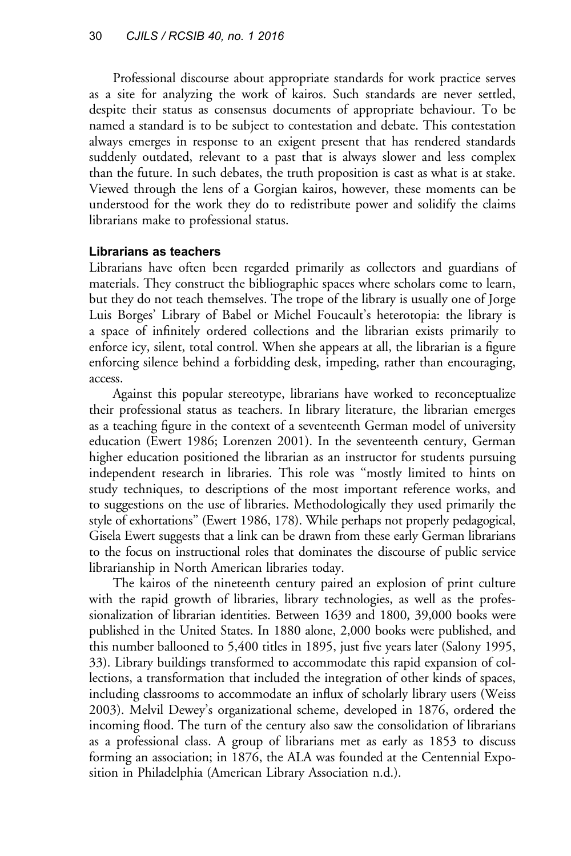Professional discourse about appropriate standards for work practice serves as a site for analyzing the work of kairos. Such standards are never settled, despite their status as consensus documents of appropriate behaviour. To be named a standard is to be subject to contestation and debate. This contestation always emerges in response to an exigent present that has rendered standards suddenly outdated, relevant to a past that is always slower and less complex than the future. In such debates, the truth proposition is cast as what is at stake. Viewed through the lens of a Gorgian kairos, however, these moments can be understood for the work they do to redistribute power and solidify the claims librarians make to professional status.

### Librarians as teachers

Librarians have often been regarded primarily as collectors and guardians of materials. They construct the bibliographic spaces where scholars come to learn, but they do not teach themselves. The trope of the library is usually one of Jorge Luis Borges' Library of Babel or Michel Foucault's heterotopia: the library is a space of infinitely ordered collections and the librarian exists primarily to enforce icy, silent, total control. When she appears at all, the librarian is a figure enforcing silence behind a forbidding desk, impeding, rather than encouraging, access.

Against this popular stereotype, librarians have worked to reconceptualize their professional status as teachers. In library literature, the librarian emerges as a teaching figure in the context of a seventeenth German model of university education ([Ewert 1986](#page-9-0); [Lorenzen 2001\)](#page-10-0). In the seventeenth century, German higher education positioned the librarian as an instructor for students pursuing independent research in libraries. This role was ''mostly limited to hints on study techniques, to descriptions of the most important reference works, and to suggestions on the use of libraries. Methodologically they used primarily the style of exhortations'' ([Ewert 1986](#page-9-0), 178). While perhaps not properly pedagogical, Gisela Ewert suggests that a link can be drawn from these early German librarians to the focus on instructional roles that dominates the discourse of public service librarianship in North American libraries today.

The kairos of the nineteenth century paired an explosion of print culture with the rapid growth of libraries, library technologies, as well as the professionalization of librarian identities. Between 1639 and 1800, 39,000 books were published in the United States. In 1880 alone, 2,000 books were published, and this number ballooned to 5,400 titles in 1895, just five years later [\(Salony 1995,](#page-10-0) 33). Library buildings transformed to accommodate this rapid expansion of collections, a transformation that included the integration of other kinds of spaces, including classrooms to accommodate an influx of scholarly library users ([Weiss](#page-10-0) [2003](#page-10-0)). Melvil Dewey's organizational scheme, developed in 1876, ordered the incoming flood. The turn of the century also saw the consolidation of librarians as a professional class. A group of librarians met as early as 1853 to discuss forming an association; in 1876, the ALA was founded at the Centennial Exposition in Philadelphia ([American Library Association n.d.\)](#page-9-0).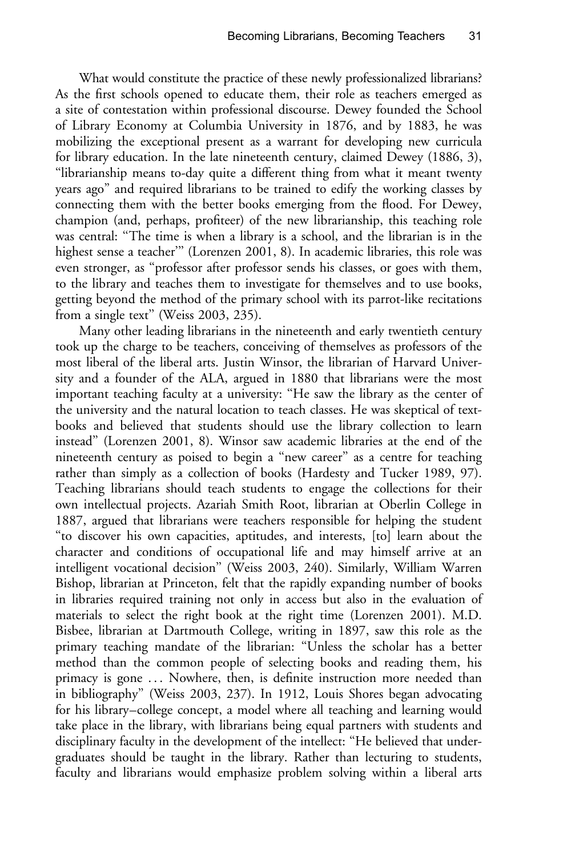What would constitute the practice of these newly professionalized librarians? As the first schools opened to educate them, their role as teachers emerged as a site of contestation within professional discourse. Dewey founded the School of Library Economy at Columbia University in 1876, and by 1883, he was mobilizing the exceptional present as a warrant for developing new curricula for library education. In the late nineteenth century, claimed [Dewey \(1886,](#page-9-0) 3), ''librarianship means to-day quite a different thing from what it meant twenty years ago'' and required librarians to be trained to edify the working classes by connecting them with the better books emerging from the flood. For Dewey, champion (and, perhaps, profiteer) of the new librarianship, this teaching role was central: ''The time is when a library is a school, and the librarian is in the highest sense a teacher''' [\(Lorenzen 2001](#page-10-0), 8). In academic libraries, this role was even stronger, as ''professor after professor sends his classes, or goes with them, to the library and teaches them to investigate for themselves and to use books, getting beyond the method of the primary school with its parrot-like recitations from a single text" [\(Weiss 2003,](#page-10-0) 235).

Many other leading librarians in the nineteenth and early twentieth century took up the charge to be teachers, conceiving of themselves as professors of the most liberal of the liberal arts. Justin Winsor, the librarian of Harvard University and a founder of the ALA, argued in 1880 that librarians were the most important teaching faculty at a university: ''He saw the library as the center of the university and the natural location to teach classes. He was skeptical of textbooks and believed that students should use the library collection to learn instead'' ([Lorenzen 2001,](#page-10-0) 8). Winsor saw academic libraries at the end of the nineteenth century as poised to begin a ''new career'' as a centre for teaching rather than simply as a collection of books [\(Hardesty and Tucker 1989,](#page-9-0) 97). Teaching librarians should teach students to engage the collections for their own intellectual projects. Azariah Smith Root, librarian at Oberlin College in 1887, argued that librarians were teachers responsible for helping the student ''to discover his own capacities, aptitudes, and interests, [to] learn about the character and conditions of occupational life and may himself arrive at an intelligent vocational decision'' ([Weiss 2003](#page-10-0), 240). Similarly, William Warren Bishop, librarian at Princeton, felt that the rapidly expanding number of books in libraries required training not only in access but also in the evaluation of materials to select the right book at the right time [\(Lorenzen 2001](#page-10-0)). M.D. Bisbee, librarian at Dartmouth College, writing in 1897, saw this role as the primary teaching mandate of the librarian: ''Unless the scholar has a better method than the common people of selecting books and reading them, his primacy is gone ... Nowhere, then, is definite instruction more needed than in bibliography'' [\(Weiss 2003,](#page-10-0) 237). In 1912, Louis Shores began advocating for his library–college concept, a model where all teaching and learning would take place in the library, with librarians being equal partners with students and disciplinary faculty in the development of the intellect: ''He believed that undergraduates should be taught in the library. Rather than lecturing to students, faculty and librarians would emphasize problem solving within a liberal arts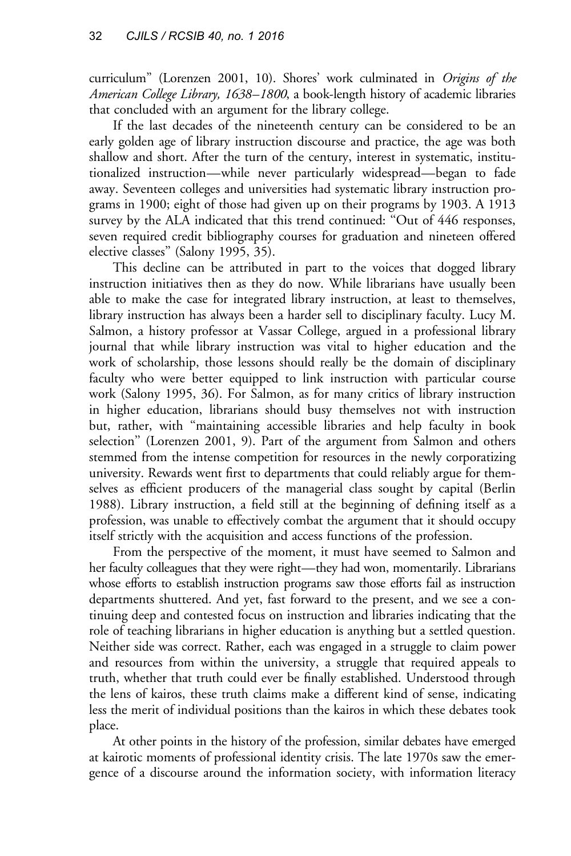curriculum" [\(Lorenzen 2001](#page-10-0), 10). Shores' work culminated in *Origins of the* American College Library, 1638–1800, a book-length history of academic libraries that concluded with an argument for the library college.

If the last decades of the nineteenth century can be considered to be an early golden age of library instruction discourse and practice, the age was both shallow and short. After the turn of the century, interest in systematic, institutionalized instruction—while never particularly widespread—began to fade away. Seventeen colleges and universities had systematic library instruction programs in 1900; eight of those had given up on their programs by 1903. A 1913 survey by the ALA indicated that this trend continued: ''Out of 446 responses, seven required credit bibliography courses for graduation and nineteen offered elective classes'' ([Salony 1995](#page-10-0), 35).

This decline can be attributed in part to the voices that dogged library instruction initiatives then as they do now. While librarians have usually been able to make the case for integrated library instruction, at least to themselves, library instruction has always been a harder sell to disciplinary faculty. Lucy M. Salmon, a history professor at Vassar College, argued in a professional library journal that while library instruction was vital to higher education and the work of scholarship, those lessons should really be the domain of disciplinary faculty who were better equipped to link instruction with particular course work ([Salony 1995,](#page-10-0) 36). For Salmon, as for many critics of library instruction in higher education, librarians should busy themselves not with instruction but, rather, with ''maintaining accessible libraries and help faculty in book selection'' ([Lorenzen 2001,](#page-10-0) 9). Part of the argument from Salmon and others stemmed from the intense competition for resources in the newly corporatizing university. Rewards went first to departments that could reliably argue for themselves as efficient producers of the managerial class sought by capital ([Berlin](#page-9-0) [1988](#page-9-0)). Library instruction, a field still at the beginning of defining itself as a profession, was unable to effectively combat the argument that it should occupy itself strictly with the acquisition and access functions of the profession.

From the perspective of the moment, it must have seemed to Salmon and her faculty colleagues that they were right—they had won, momentarily. Librarians whose efforts to establish instruction programs saw those efforts fail as instruction departments shuttered. And yet, fast forward to the present, and we see a continuing deep and contested focus on instruction and libraries indicating that the role of teaching librarians in higher education is anything but a settled question. Neither side was correct. Rather, each was engaged in a struggle to claim power and resources from within the university, a struggle that required appeals to truth, whether that truth could ever be finally established. Understood through the lens of kairos, these truth claims make a different kind of sense, indicating less the merit of individual positions than the kairos in which these debates took place.

At other points in the history of the profession, similar debates have emerged at kairotic moments of professional identity crisis. The late 1970s saw the emergence of a discourse around the information society, with information literacy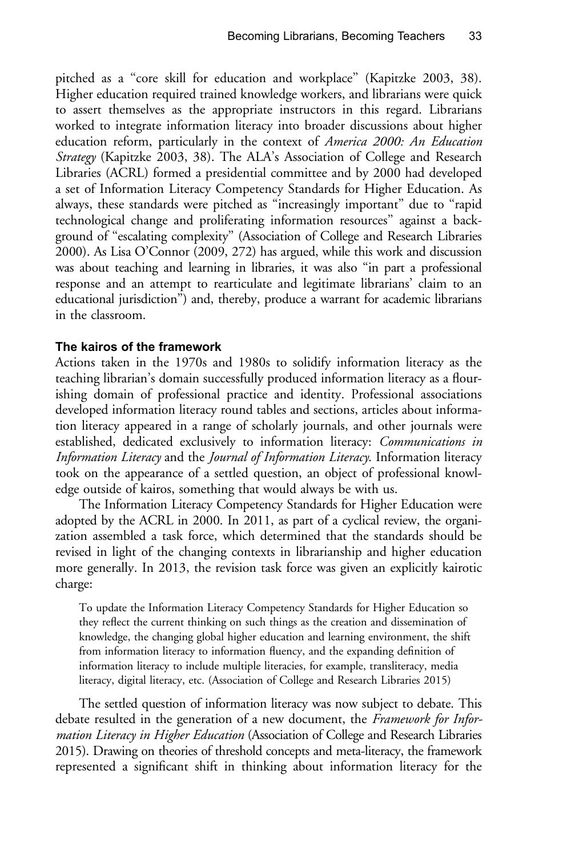pitched as a ''core skill for education and workplace'' [\(Kapitzke 2003,](#page-9-0) 38). Higher education required trained knowledge workers, and librarians were quick to assert themselves as the appropriate instructors in this regard. Librarians worked to integrate information literacy into broader discussions about higher education reform, particularly in the context of America 2000: An Education Strategy [\(Kapitzke 2003](#page-9-0), 38). The ALA's Association of College and Research Libraries (ACRL) formed a presidential committee and by 2000 had developed a set of Information Literacy Competency Standards for Higher Education. As always, these standards were pitched as ''increasingly important'' due to ''rapid technological change and proliferating information resources'' against a background of ''escalating complexity'' [\(Association of College and Research Libraries](#page-9-0) [2000](#page-9-0)). As Lisa [O'Connor \(2009,](#page-10-0) 272) has argued, while this work and discussion was about teaching and learning in libraries, it was also ''in part a professional response and an attempt to rearticulate and legitimate librarians' claim to an educational jurisdiction'') and, thereby, produce a warrant for academic librarians in the classroom.

#### The kairos of the framework

Actions taken in the 1970s and 1980s to solidify information literacy as the teaching librarian's domain successfully produced information literacy as a flourishing domain of professional practice and identity. Professional associations developed information literacy round tables and sections, articles about information literacy appeared in a range of scholarly journals, and other journals were established, dedicated exclusively to information literacy: Communications in Information Literacy and the Journal of Information Literacy. Information literacy took on the appearance of a settled question, an object of professional knowledge outside of kairos, something that would always be with us.

The Information Literacy Competency Standards for Higher Education were adopted by the ACRL in 2000. In 2011, as part of a cyclical review, the organization assembled a task force, which determined that the standards should be revised in light of the changing contexts in librarianship and higher education more generally. In 2013, the revision task force was given an explicitly kairotic charge:

To update the Information Literacy Competency Standards for Higher Education so they reflect the current thinking on such things as the creation and dissemination of knowledge, the changing global higher education and learning environment, the shift from information literacy to information fluency, and the expanding definition of information literacy to include multiple literacies, for example, transliteracy, media literacy, digital literacy, etc. [\(Association of College and Research Libraries 2015](#page-9-0))

The settled question of information literacy was now subject to debate. This debate resulted in the generation of a new document, the Framework for Infor-mation Literacy in Higher Education [\(Association of College and Research Libraries](#page-9-0) [2015\)](#page-9-0). Drawing on theories of threshold concepts and meta-literacy, the framework represented a significant shift in thinking about information literacy for the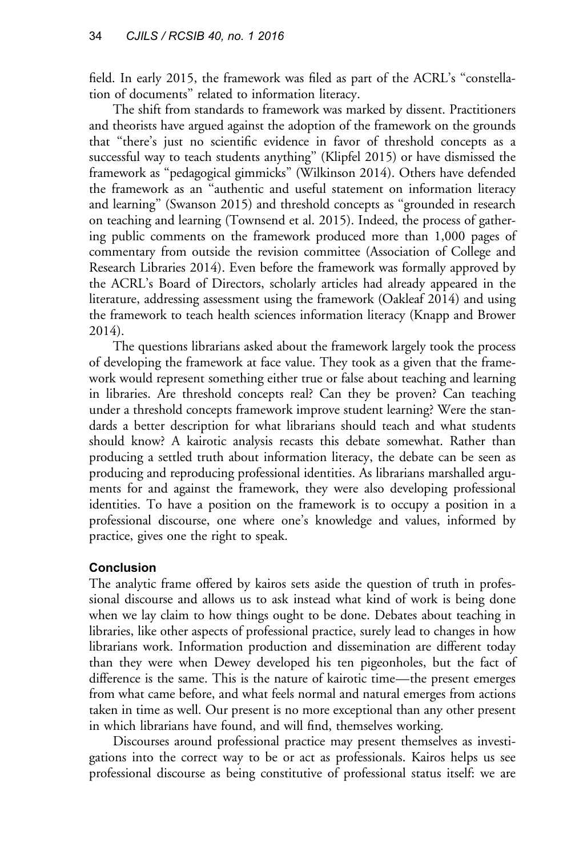field. In early 2015, the framework was filed as part of the ACRL's ''constellation of documents'' related to information literacy.

The shift from standards to framework was marked by dissent. Practitioners and theorists have argued against the adoption of the framework on the grounds that ''there's just no scientific evidence in favor of threshold concepts as a successful way to teach students anything'' ([Klipfel 2015\)](#page-9-0) or have dismissed the framework as ''pedagogical gimmicks'' ([Wilkinson 2014\)](#page-10-0). Others have defended the framework as an ''authentic and useful statement on information literacy and learning'' [\(Swanson 2015\)](#page-10-0) and threshold concepts as ''grounded in research on teaching and learning [\(Townsend et al. 2015](#page-10-0)). Indeed, the process of gathering public comments on the framework produced more than 1,000 pages of commentary from outside the revision committee ([Association of College and](#page-9-0) [Research Libraries 2014](#page-9-0)). Even before the framework was formally approved by the ACRL's Board of Directors, scholarly articles had already appeared in the literature, addressing assessment using the framework [\(Oakleaf 2014](#page-10-0)) and using the framework to teach health sciences information literacy ([Knapp and Brower](#page-9-0) [2014](#page-9-0)).

The questions librarians asked about the framework largely took the process of developing the framework at face value. They took as a given that the framework would represent something either true or false about teaching and learning in libraries. Are threshold concepts real? Can they be proven? Can teaching under a threshold concepts framework improve student learning? Were the standards a better description for what librarians should teach and what students should know? A kairotic analysis recasts this debate somewhat. Rather than producing a settled truth about information literacy, the debate can be seen as producing and reproducing professional identities. As librarians marshalled arguments for and against the framework, they were also developing professional identities. To have a position on the framework is to occupy a position in a professional discourse, one where one's knowledge and values, informed by practice, gives one the right to speak.

## Conclusion

The analytic frame offered by kairos sets aside the question of truth in professional discourse and allows us to ask instead what kind of work is being done when we lay claim to how things ought to be done. Debates about teaching in libraries, like other aspects of professional practice, surely lead to changes in how librarians work. Information production and dissemination are different today than they were when Dewey developed his ten pigeonholes, but the fact of difference is the same. This is the nature of kairotic time—the present emerges from what came before, and what feels normal and natural emerges from actions taken in time as well. Our present is no more exceptional than any other present in which librarians have found, and will find, themselves working.

Discourses around professional practice may present themselves as investigations into the correct way to be or act as professionals. Kairos helps us see professional discourse as being constitutive of professional status itself: we are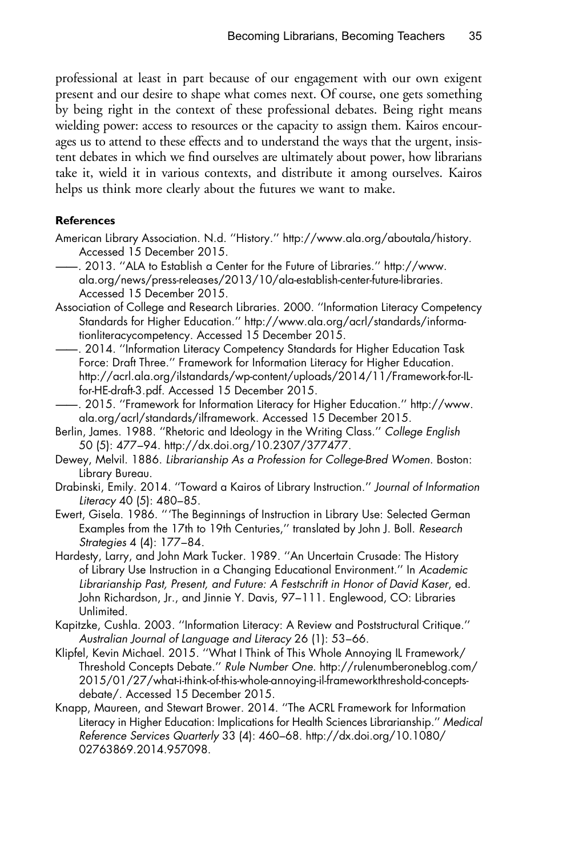<span id="page-9-0"></span>professional at least in part because of our engagement with our own exigent present and our desire to shape what comes next. Of course, one gets something by being right in the context of these professional debates. Being right means wielding power: access to resources or the capacity to assign them. Kairos encourages us to attend to these effects and to understand the ways that the urgent, insistent debates in which we find ourselves are ultimately about power, how librarians take it, wield it in various contexts, and distribute it among ourselves. Kairos helps us think more clearly about the futures we want to make.

#### **References**

- American Library Association. N.d. ''History.'' [http://www.ala.org/aboutala/history.](http://www.ala.org/aboutala/history) Accessed 15 December 2015.
- ——. 2013. ''ALA to Establish a Center for the Future of Libraries.'' [http://www.](http://www.ala.org/news/press-releases/2013/10/ala-establish-center-future-libraries) [ala.org/news/press-releases/2013/10/ala-establish-center-future-libraries.](http://www.ala.org/news/press-releases/2013/10/ala-establish-center-future-libraries) Accessed 15 December 2015.
- Association of College and Research Libraries. 2000. ''Information Literacy Competency Standards for Higher Education.'' [http://www.ala.org/acrl/standards/informa](http://www.ala.org/acrl/standards/informationliteracycompetency)[tionliteracycompetency.](http://www.ala.org/acrl/standards/informationliteracycompetency) Accessed 15 December 2015.
- ——. 2014. ''Information Literacy Competency Standards for Higher Education Task Force: Draft Three.'' Framework for Information Literacy for Higher Education. [http://acrl.ala.org/ilstandards/wp-content/uploads/2014/11/Framework-for-IL](http://acrl.ala.org/ilstandards/wp-content/uploads/2014/11/Framework-for-IL-for-HE-draft-3.pdf)[for-HE-draft-3.pdf](http://acrl.ala.org/ilstandards/wp-content/uploads/2014/11/Framework-for-IL-for-HE-draft-3.pdf). Accessed 15 December 2015.
- ——. 2015. ''Framework for Information Literacy for Higher Education.'' [http://www.](http://www.ala.org/acrl/standards/ilframework) [ala.org/acrl/standards/ilframework](http://www.ala.org/acrl/standards/ilframework). Accessed 15 December 2015.
- Berlin, James. 1988. ''Rhetoric and Ideology in the Writing Class.'' College English 50 (5): 477–94. [http://dx.doi.org/10.2307/377477.](http://dx.doi.org/10.2307/377477)
- Dewey, Melvil. 1886. Librarianship As a Profession for College-Bred Women. Boston: Library Bureau.
- Drabinski, Emily. 2014. ''Toward a Kairos of Library Instruction.'' Journal of Information Literacy 40 (5): 480–85.
- Ewert, Gisela. 1986. '''The Beginnings of Instruction in Library Use: Selected German Examples from the 17th to 19th Centuries,'' translated by John J. Boll. Research Strategies 4 (4): 177–84.
- Hardesty, Larry, and John Mark Tucker. 1989. ''An Uncertain Crusade: The History of Library Use Instruction in a Changing Educational Environment.'' In Academic Librarianship Past, Present, and Future: A Festschrift in Honor of David Kaser, ed. John Richardson, Jr., and Jinnie Y. Davis, 97–111. Englewood, CO: Libraries Unlimited.
- Kapitzke, Cushla. 2003. ''Information Literacy: A Review and Poststructural Critique.'' Australian Journal of Language and Literacy 26 (1): 53–66.
- Klipfel, Kevin Michael. 2015. ''What I Think of This Whole Annoying IL Framework/ Threshold Concepts Debate.'' Rule Number One. [http://rulenumberoneblog.com/](http://rulenumberoneblog.com/2015/01/27/what-i-think-of-this-whole-annoying-il-frameworkthreshold-concepts-debate/) [2015/01/27/what-i-think-of-this-whole-annoying-il-frameworkthreshold-concepts](http://rulenumberoneblog.com/2015/01/27/what-i-think-of-this-whole-annoying-il-frameworkthreshold-concepts-debate/)[debate/.](http://rulenumberoneblog.com/2015/01/27/what-i-think-of-this-whole-annoying-il-frameworkthreshold-concepts-debate/) Accessed 15 December 2015.
- Knapp, Maureen, and Stewart Brower. 2014. ''The ACRL Framework for Information Literacy in Higher Education: Implications for Health Sciences Librarianship.'' Medical Reference Services Quarterly 33 (4): 460–68. [http://dx.doi.org/10.1080/](http://dx.doi.org/10.1080/02763869.2014.957098) [02763869.2014.957098](http://dx.doi.org/10.1080/02763869.2014.957098).